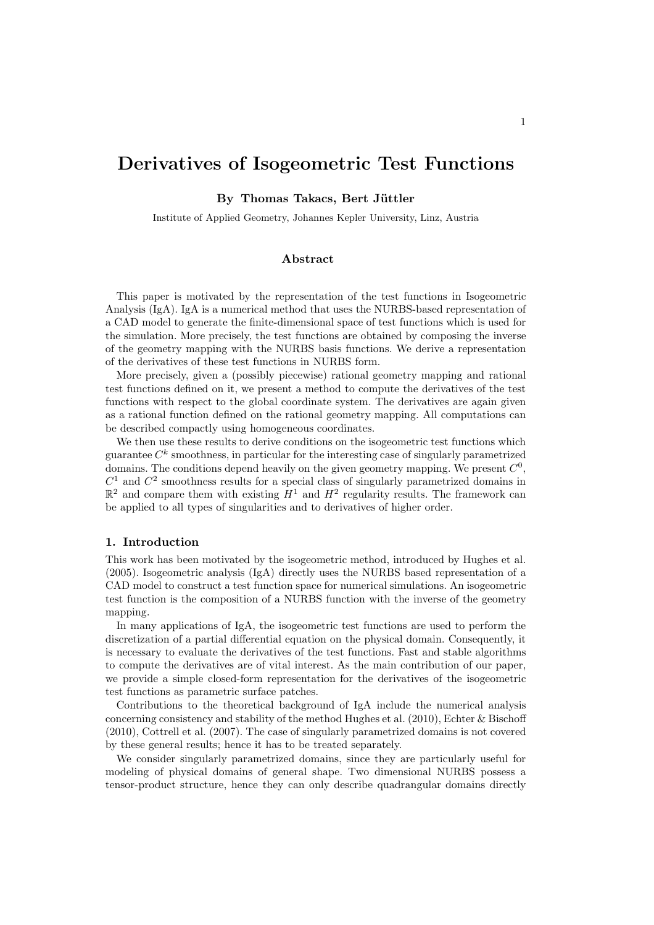# Derivatives of Isogeometric Test Functions

By Thomas Takacs, Bert Jüttler

Institute of Applied Geometry, Johannes Kepler University, Linz, Austria

## Abstract

This paper is motivated by the representation of the test functions in Isogeometric Analysis (IgA). IgA is a numerical method that uses the NURBS-based representation of a CAD model to generate the finite-dimensional space of test functions which is used for the simulation. More precisely, the test functions are obtained by composing the inverse of the geometry mapping with the NURBS basis functions. We derive a representation of the derivatives of these test functions in NURBS form.

More precisely, given a (possibly piecewise) rational geometry mapping and rational test functions defined on it, we present a method to compute the derivatives of the test functions with respect to the global coordinate system. The derivatives are again given as a rational function defined on the rational geometry mapping. All computations can be described compactly using homogeneous coordinates.

We then use these results to derive conditions on the isogeometric test functions which guarantee  $C<sup>k</sup>$  smoothness, in particular for the interesting case of singularly parametrized domains. The conditions depend heavily on the given geometry mapping. We present  $C^0$ ,  $C<sup>1</sup>$  and  $C<sup>2</sup>$  smoothness results for a special class of singularly parametrized domains in  $\mathbb{R}^2$  and compare them with existing  $H^1$  and  $H^2$  regularity results. The framework can be applied to all types of singularities and to derivatives of higher order.

## 1. Introduction

This work has been motivated by the isogeometric method, introduced by Hughes et al. (2005). Isogeometric analysis (IgA) directly uses the NURBS based representation of a CAD model to construct a test function space for numerical simulations. An isogeometric test function is the composition of a NURBS function with the inverse of the geometry mapping.

In many applications of IgA, the isogeometric test functions are used to perform the discretization of a partial differential equation on the physical domain. Consequently, it is necessary to evaluate the derivatives of the test functions. Fast and stable algorithms to compute the derivatives are of vital interest. As the main contribution of our paper, we provide a simple closed-form representation for the derivatives of the isogeometric test functions as parametric surface patches.

Contributions to the theoretical background of IgA include the numerical analysis concerning consistency and stability of the method Hughes et al.  $(2010)$ , Echter & Bischoff (2010), Cottrell et al. (2007). The case of singularly parametrized domains is not covered by these general results; hence it has to be treated separately.

We consider singularly parametrized domains, since they are particularly useful for modeling of physical domains of general shape. Two dimensional NURBS possess a tensor-product structure, hence they can only describe quadrangular domains directly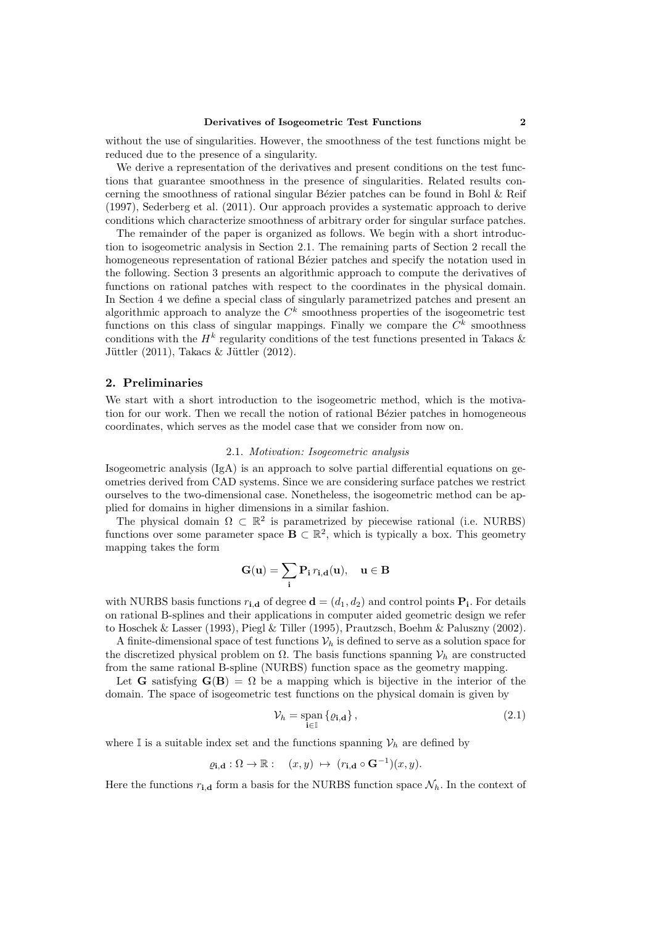without the use of singularities. However, the smoothness of the test functions might be reduced due to the presence of a singularity.

We derive a representation of the derivatives and present conditions on the test functions that guarantee smoothness in the presence of singularities. Related results concerning the smoothness of rational singular Bézier patches can be found in Bohl  $\&$  Reif (1997), Sederberg et al. (2011). Our approach provides a systematic approach to derive conditions which characterize smoothness of arbitrary order for singular surface patches.

The remainder of the paper is organized as follows. We begin with a short introduction to isogeometric analysis in Section 2.1. The remaining parts of Section 2 recall the homogeneous representation of rational Bézier patches and specify the notation used in the following. Section 3 presents an algorithmic approach to compute the derivatives of functions on rational patches with respect to the coordinates in the physical domain. In Section 4 we define a special class of singularly parametrized patches and present an algorithmic approach to analyze the  $C<sup>k</sup>$  smoothness properties of the isogeometric test functions on this class of singular mappings. Finally we compare the  $C<sup>k</sup>$  smoothness conditions with the  $H^k$  regularity conditions of the test functions presented in Takacs & Jüttler  $(2011)$ , Takacs & Jüttler  $(2012)$ .

## 2. Preliminaries

We start with a short introduction to the isogeometric method, which is the motivation for our work. Then we recall the notion of rational Bézier patches in homogeneous coordinates, which serves as the model case that we consider from now on.

## 2.1. Motivation: Isogeometric analysis

Isogeometric analysis (IgA) is an approach to solve partial differential equations on geometries derived from CAD systems. Since we are considering surface patches we restrict ourselves to the two-dimensional case. Nonetheless, the isogeometric method can be applied for domains in higher dimensions in a similar fashion.

The physical domain  $\Omega \subset \mathbb{R}^2$  is parametrized by piecewise rational (i.e. NURBS) functions over some parameter space  $\mathbf{B} \subset \mathbb{R}^2$ , which is typically a box. This geometry mapping takes the form

$$
\mathbf{G}(\mathbf{u})=\sum_i \mathbf{P_i} \, r_{i,\mathbf{d}}(\mathbf{u}), \quad \mathbf{u} \in \mathbf{B}
$$

with NURBS basis functions  $r_{i,d}$  of degree  $\mathbf{d} = (d_1, d_2)$  and control points  $\mathbf{P}_i$ . For details on rational B-splines and their applications in computer aided geometric design we refer to Hoschek & Lasser (1993), Piegl & Tiller (1995), Prautzsch, Boehm & Paluszny (2002).

A finite-dimensional space of test functions  $\mathcal{V}_h$  is defined to serve as a solution space for the discretized physical problem on  $\Omega$ . The basis functions spanning  $\mathcal{V}_h$  are constructed from the same rational B-spline (NURBS) function space as the geometry mapping.

Let G satisfying  $G(B) = \Omega$  be a mapping which is bijective in the interior of the domain. The space of isogeometric test functions on the physical domain is given by

$$
\mathcal{V}_h = \operatorname{span}_{\mathbf{i} \in \mathbb{I}} \left\{ \varrho_{\mathbf{i}, \mathbf{d}} \right\},\tag{2.1}
$$

where I is a suitable index set and the functions spanning  $\mathcal{V}_h$  are defined by

$$
\varrho_{\mathbf{i},\mathbf{d}} : \Omega \to \mathbb{R} : \quad (x,y) \; \mapsto \; (r_{\mathbf{i},\mathbf{d}} \circ \mathbf{G}^{-1})(x,y).
$$

Here the functions  $r_{i,d}$  form a basis for the NURBS function space  $\mathcal{N}_h$ . In the context of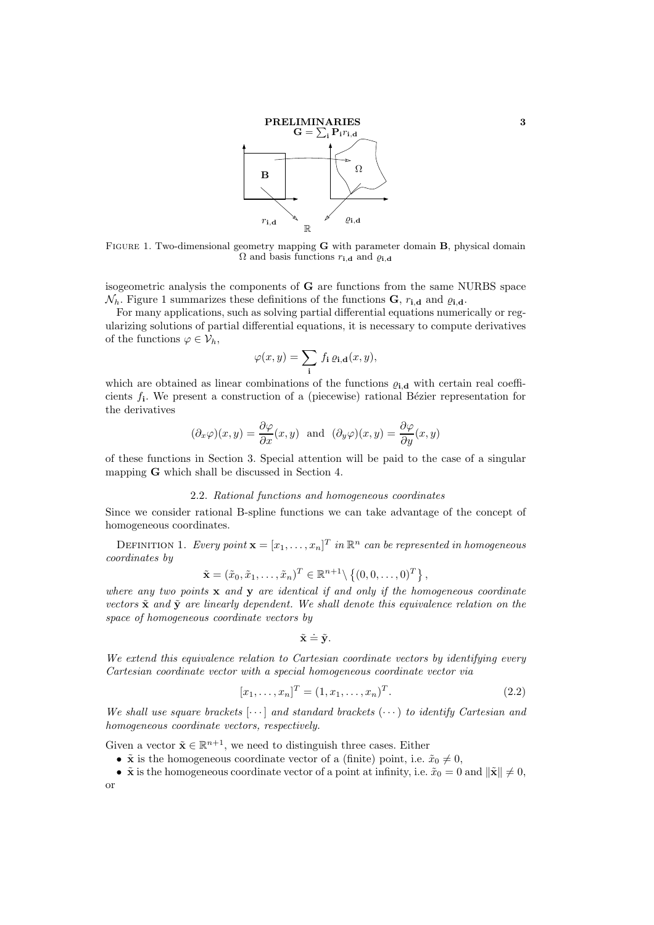

FIGURE 1. Two-dimensional geometry mapping **G** with parameter domain **B**, physical domain  $\Omega$  and basis functions  $r_{\mathbf{i},\mathbf{d}}$  and  $\varrho_{\mathbf{i},\mathbf{d}}$ 

isogeometric analysis the components of G are functions from the same NURBS space  $\mathcal{N}_h$ . Figure 1 summarizes these definitions of the functions **G**,  $r_{i,d}$  and  $\varrho_{i,d}$ .

For many applications, such as solving partial differential equations numerically or regularizing solutions of partial differential equations, it is necessary to compute derivatives of the functions  $\varphi \in \mathcal{V}_h$ ,

$$
\varphi(x,y) = \sum_{\mathbf{i}} f_{\mathbf{i}} \, \varrho_{\mathbf{i},\mathbf{d}}(x,y),
$$

which are obtained as linear combinations of the functions  $\varrho_{i,d}$  with certain real coefficients  $f_i$ . We present a construction of a (piecewise) rational Bézier representation for the derivatives

$$
(\partial_x \varphi)(x, y) = \frac{\partial \varphi}{\partial x}(x, y)
$$
 and  $(\partial_y \varphi)(x, y) = \frac{\partial \varphi}{\partial y}(x, y)$ 

of these functions in Section 3. Special attention will be paid to the case of a singular mapping G which shall be discussed in Section 4.

#### 2.2. Rational functions and homogeneous coordinates

Since we consider rational B-spline functions we can take advantage of the concept of homogeneous coordinates.

DEFINITION 1. Every point  $\mathbf{x} = [x_1, \ldots, x_n]^T$  in  $\mathbb{R}^n$  can be represented in homogeneous coordinates by

$$
\tilde{\mathbf{x}} = (\tilde{x}_0, \tilde{x}_1, \dots, \tilde{x}_n)^T \in \mathbb{R}^{n+1} \setminus \left\{ (0, 0, \dots, 0)^T \right\},\
$$

where any two points  $x$  and  $y$  are identical if and only if the homogeneous coordinate vectors  $\tilde{\mathbf{x}}$  and  $\tilde{\mathbf{y}}$  are linearly dependent. We shall denote this equivalence relation on the space of homogeneous coordinate vectors by

$$
\tilde{\mathbf{x}} \doteq \tilde{\mathbf{y}}.
$$

We extend this equivalence relation to Cartesian coordinate vectors by identifying every Cartesian coordinate vector with a special homogeneous coordinate vector via

$$
[x_1, \dots, x_n]^T = (1, x_1, \dots, x_n)^T.
$$
\n(2.2)

We shall use square brackets  $[\cdots]$  and standard brackets  $(\cdots)$  to identify Cartesian and homogeneous coordinate vectors, respectively.

Given a vector  $\tilde{\mathbf{x}} \in \mathbb{R}^{n+1}$ , we need to distinguish three cases. Either

- $\tilde{\mathbf{x}}$  is the homogeneous coordinate vector of a (finite) point, i.e.  $\tilde{x}_0 \neq 0$ ,
- $\tilde{\mathbf{x}}$  is the homogeneous coordinate vector of a point at infinity, i.e.  $\tilde{x}_0 = 0$  and  $\|\tilde{\mathbf{x}}\| \neq 0$ , or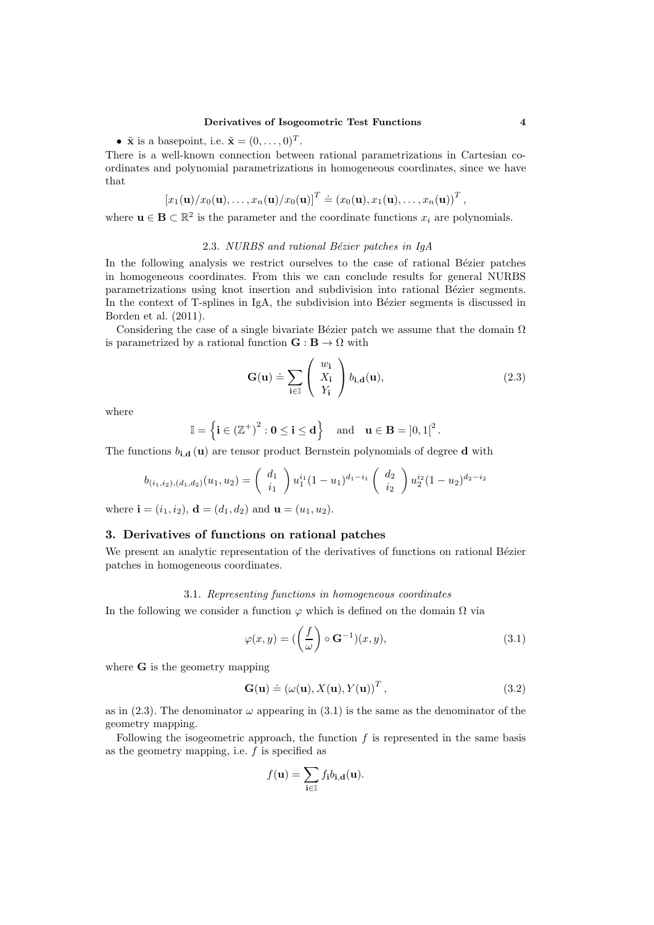•  $\tilde{\mathbf{x}}$  is a basepoint, i.e.  $\tilde{\mathbf{x}} = (0, \ldots, 0)^T$ .

There is a well-known connection between rational parametrizations in Cartesian coordinates and polynomial parametrizations in homogeneous coordinates, since we have that

$$
\left[x_1(\mathbf{u})/x_0(\mathbf{u}),\ldots,x_n(\mathbf{u})/x_0(\mathbf{u})\right]^T \doteq \left(x_0(\mathbf{u}),x_1(\mathbf{u}),\ldots,x_n(\mathbf{u})\right)^T,
$$

where  $\mathbf{u} \in \mathbf{B} \subset \mathbb{R}^2$  is the parameter and the coordinate functions  $x_i$  are polynomials.

# 2.3. NURBS and rational Bézier patches in  $IgA$

In the following analysis we restrict ourselves to the case of rational Bézier patches in homogeneous coordinates. From this we can conclude results for general NURBS parametrizations using knot insertion and subdivision into rational Bézier segments. In the context of  $T$ -splines in IgA, the subdivision into Bézier segments is discussed in Borden et al. (2011).

Considering the case of a single bivariate Bézier patch we assume that the domain  $\Omega$ is parametrized by a rational function  $\mathbf{G} : \mathbf{B} \to \Omega$  with

$$
\mathbf{G}(\mathbf{u}) \doteq \sum_{\mathbf{i} \in \mathbb{I}} \left( \begin{array}{c} w_{\mathbf{i}} \\ X_{\mathbf{i}} \\ Y_{\mathbf{i}} \end{array} \right) b_{\mathbf{i}, \mathbf{d}}(\mathbf{u}), \tag{2.3}
$$

where

$$
\mathbb{I} = \left\{ \mathbf{i} \in \left(\mathbb{Z}^+\right)^2 : \mathbf{0} \leq \mathbf{i} \leq \mathbf{d} \right\} \quad \text{and} \quad \mathbf{u} \in \mathbf{B} = \left]0, 1\right|^2.
$$

The functions  $b_{i,d}(u)$  are tensor product Bernstein polynomials of degree d with

$$
b_{(i_1,i_2),(d_1,d_2)}(u_1,u_2) = \begin{pmatrix} d_1 \\ i_1 \end{pmatrix} u_1^{i_1} (1-u_1)^{d_1-i_1} \begin{pmatrix} d_2 \\ i_2 \end{pmatrix} u_2^{i_2} (1-u_2)^{d_2-i_2}
$$

where  $\mathbf{i} = (i_1, i_2), \mathbf{d} = (d_1, d_2)$  and  $\mathbf{u} = (u_1, u_2)$ .

# 3. Derivatives of functions on rational patches

We present an analytic representation of the derivatives of functions on rational Bézier patches in homogeneous coordinates.

#### 3.1. Representing functions in homogeneous coordinates

In the following we consider a function  $\varphi$  which is defined on the domain  $\Omega$  via

$$
\varphi(x,y) = \left(\left(\frac{f}{\omega}\right) \circ \mathbf{G}^{-1}\right)(x,y),\tag{3.1}
$$

where G is the geometry mapping

$$
\mathbf{G}(\mathbf{u}) \doteq (\omega(\mathbf{u}), X(\mathbf{u}), Y(\mathbf{u}))^{T}, \qquad (3.2)
$$

as in (2.3). The denominator  $\omega$  appearing in (3.1) is the same as the denominator of the geometry mapping.

Following the isogeometric approach, the function  $f$  is represented in the same basis as the geometry mapping, i.e.  $f$  is specified as

$$
f(\mathbf{u}) = \sum_{\mathbf{i} \in \mathbb{I}} f_{\mathbf{i}} b_{\mathbf{i},\mathbf{d}}(\mathbf{u}).
$$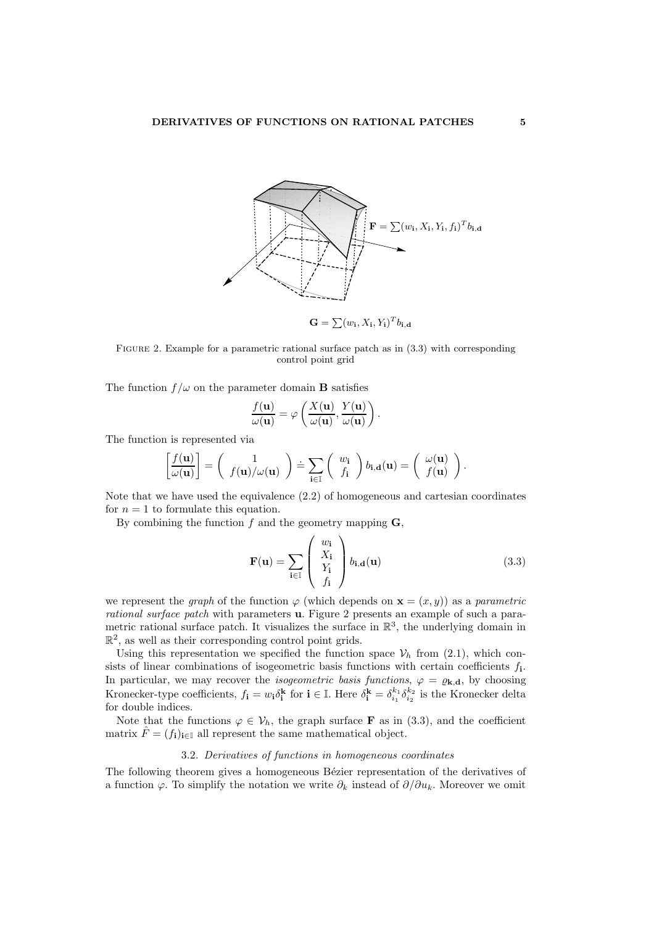

 $\mathbf{G} = \sum (w_{\mathbf{i}}, X_{\mathbf{i}}, Y_{\mathbf{i}})^T b_{\mathbf{i}, \mathbf{d}}$ 

FIGURE 2. Example for a parametric rational surface patch as in  $(3.3)$  with corresponding control point grid

The function  $f/\omega$  on the parameter domain **B** satisfies

$$
\frac{f(\mathbf{u})}{\omega(\mathbf{u})} = \varphi\left(\frac{X(\mathbf{u})}{\omega(\mathbf{u})}, \frac{Y(\mathbf{u})}{\omega(\mathbf{u})}\right)
$$

The function is represented via

$$
\left[\frac{f(\mathbf{u})}{\omega(\mathbf{u})}\right] = \begin{pmatrix} 1 \\ f(\mathbf{u})/\omega(\mathbf{u}) \end{pmatrix} \doteq \sum_{\mathbf{i} \in \mathbb{I}} \begin{pmatrix} w_{\mathbf{i}} \\ f_{\mathbf{i}} \end{pmatrix} b_{\mathbf{i},\mathbf{d}}(\mathbf{u}) = \begin{pmatrix} \omega(\mathbf{u}) \\ f(\mathbf{u}) \end{pmatrix}.
$$

Note that we have used the equivalence (2.2) of homogeneous and cartesian coordinates for  $n = 1$  to formulate this equation.

By combining the function  $f$  and the geometry mapping  $\mathbf{G}$ ,

$$
\mathbf{F}(\mathbf{u}) = \sum_{\mathbf{i} \in \mathbb{I}} \left( \begin{array}{c} w_{\mathbf{i}} \\ X_{\mathbf{i}} \\ Y_{\mathbf{i}} \\ f_{\mathbf{i}} \end{array} \right) b_{\mathbf{i}, \mathbf{d}}(\mathbf{u}) \tag{3.3}
$$

.

we represent the *graph* of the function  $\varphi$  (which depends on  $\mathbf{x} = (x, y)$ ) as a *parametric* rational surface patch with parameters u. Figure 2 presents an example of such a parametric rational surface patch. It visualizes the surface in  $\mathbb{R}^3$ , the underlying domain in  $\mathbb{R}^2$ , as well as their corresponding control point grids.

Using this representation we specified the function space  $\mathcal{V}_h$  from (2.1), which consists of linear combinations of isogeometric basis functions with certain coefficients  $f_i$ . In particular, we may recover the *isogeometric basis functions*,  $\varphi = \varrho_{\mathbf{k},\mathbf{d}}$ , by choosing Kronecker-type coefficients,  $f_i = w_i \delta_i^k$  for  $i \in \mathbb{I}$ . Here  $\delta_i^k = \delta_{i_1}^{k_1} \delta_{i_2}^{k_2}$  is the Kronecker delta for double indices.

Note that the functions  $\varphi \in V_h$ , the graph surface **F** as in (3.3), and the coefficient matrix  $\ddot{F} = (f_i)_{i \in \mathbb{I}}$  all represent the same mathematical object.

## 3.2. Derivatives of functions in homogeneous coordinates

The following theorem gives a homogeneous Bézier representation of the derivatives of a function  $\varphi$ . To simplify the notation we write  $\partial_k$  instead of  $\partial/\partial u_k$ . Moreover we omit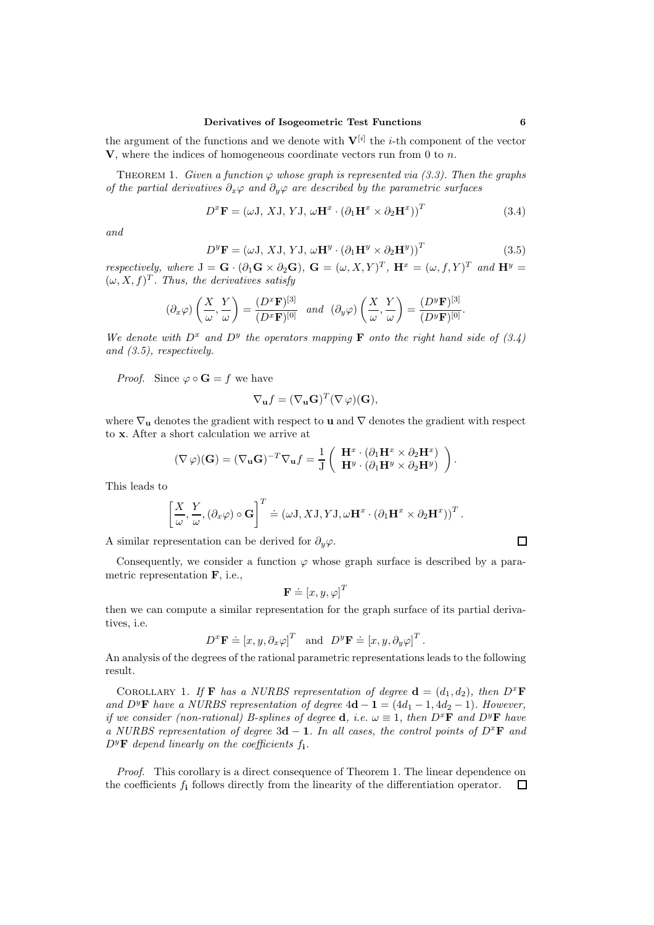the argument of the functions and we denote with  $V^{[i]}$  the *i*-th component of the vector  $V$ , where the indices of homogeneous coordinate vectors run from 0 to n.

THEOREM 1. Given a function  $\varphi$  whose graph is represented via (3.3). Then the graphs of the partial derivatives  $\partial_x \varphi$  and  $\partial_y \varphi$  are described by the parametric surfaces

$$
D^x \mathbf{F} = (\omega \mathbf{J}, X\mathbf{J}, Y\mathbf{J}, \omega \mathbf{H}^x \cdot (\partial_1 \mathbf{H}^x \times \partial_2 \mathbf{H}^x))^T
$$
(3.4)

and

$$
D^y \mathbf{F} = (\omega \mathbf{J}, X\mathbf{J}, Y\mathbf{J}, \omega \mathbf{H}^y \cdot (\partial_1 \mathbf{H}^y \times \partial_2 \mathbf{H}^y))^T
$$
(3.5)

respectively, where  $J = G \cdot (\partial_1 G \times \partial_2 G)$ ,  $G = (\omega, X, Y)^T$ ,  $H^x = (\omega, f, Y)^T$  and  $H^y =$  $(\omega, X, f)^T$ . Thus, the derivatives satisfy

$$
(\partial_x \varphi) \left( \frac{X}{\omega}, \frac{Y}{\omega} \right) = \frac{(D^x \mathbf{F})^{[3]}}{(D^x \mathbf{F})^{[0]}} \quad and \quad (\partial_y \varphi) \left( \frac{X}{\omega}, \frac{Y}{\omega} \right) = \frac{(D^y \mathbf{F})^{[3]}}{(D^y \mathbf{F})^{[0]}}.
$$

We denote with  $D^x$  and  $D^y$  the operators mapping **F** onto the right hand side of (3.4) and (3.5), respectively.

*Proof.* Since  $\varphi \circ \mathbf{G} = f$  we have

$$
\nabla_{\mathbf{u}}f = (\nabla_{\mathbf{u}}\mathbf{G})^T(\nabla \varphi)(\mathbf{G}),
$$

where  $\nabla_{\mathbf{u}}$  denotes the gradient with respect to **u** and  $\nabla$  denotes the gradient with respect to x. After a short calculation we arrive at

$$
(\nabla \varphi)(\mathbf{G}) = (\nabla_{\mathbf{u}} \mathbf{G})^{-T} \nabla_{\mathbf{u}} f = \frac{1}{J} \begin{pmatrix} \mathbf{H}^x \cdot (\partial_1 \mathbf{H}^x \times \partial_2 \mathbf{H}^x) \\ \mathbf{H}^y \cdot (\partial_1 \mathbf{H}^y \times \partial_2 \mathbf{H}^y) \end{pmatrix}.
$$

This leads to

$$
\left[\frac{X}{\omega}, \frac{Y}{\omega}, (\partial_x \varphi) \circ \mathbf{G}\right]^T \doteq (\omega \mathbf{J}, X\mathbf{J}, Y\mathbf{J}, \omega \mathbf{H}^x \cdot (\partial_1 \mathbf{H}^x \times \partial_2 \mathbf{H}^x))^T.
$$

A similar representation can be derived for  $\partial_y\varphi$ .

Consequently, we consider a function  $\varphi$  whose graph surface is described by a parametric representation F, i.e.,

$$
\mathbf{F} \doteq [x, y, \varphi]^T
$$

then we can compute a similar representation for the graph surface of its partial derivatives, i.e.

$$
D^x \mathbf{F} \doteq [x, y, \partial_x \varphi]^T
$$
 and  $D^y \mathbf{F} \doteq [x, y, \partial_y \varphi]^T$ .

An analysis of the degrees of the rational parametric representations leads to the following result.

COROLLARY 1. If **F** has a NURBS representation of degree  $\mathbf{d} = (d_1, d_2)$ , then  $D^x$ **F** and  $D^y$ **F** have a NURBS representation of degree  $4d - 1 = (4d_1 - 1, 4d_2 - 1)$ . However, if we consider (non-rational) B-splines of degree **d**, i.e.  $\omega \equiv 1$ , then  $D^x\mathbf{F}$  and  $D^y\mathbf{F}$  have a NURBS representation of degree 3d – 1. In all cases, the control points of  $D^x$ **F** and  $D^y$ **F** depend linearly on the coefficients  $f_i$ .

Proof. This corollary is a direct consequence of Theorem 1. The linear dependence on the coefficients  $f_i$  follows directly from the linearity of the differentiation operator.  $\Box$ 

 $\Box$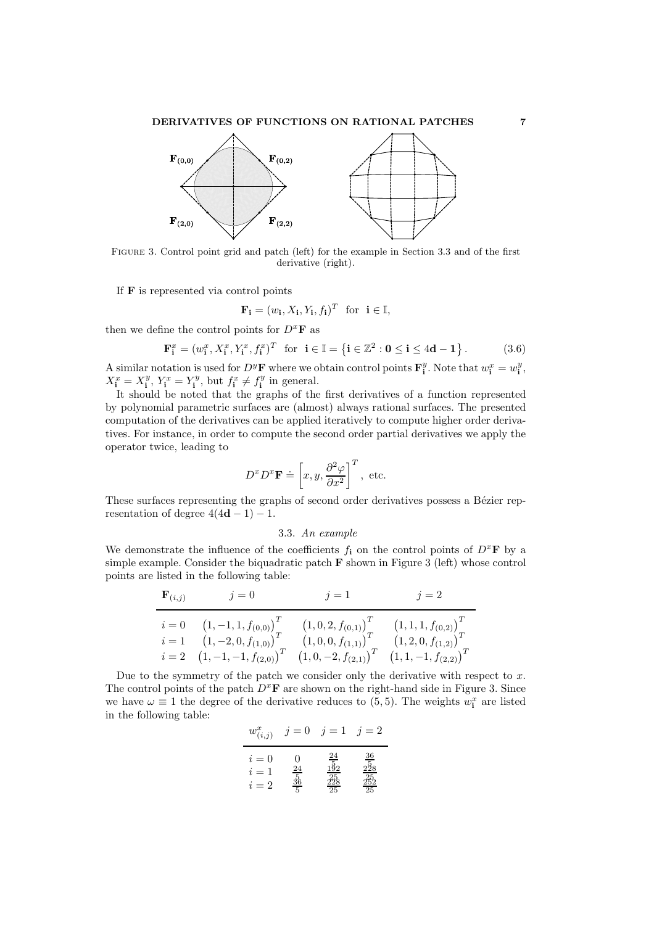## DERIVATIVES OF FUNCTIONS ON RATIONAL PATCHES 7



Figure 3. Control point grid and patch (left) for the example in Section 3.3 and of the first derivative (right).

If F is represented via control points

$$
\mathbf{F_i} = (w_i, X_i, Y_i, f_i)^T \text{ for } i \in \mathbb{I},
$$

then we define the control points for  $D^x$ **F** as

$$
\mathbf{F}_{\mathbf{i}}^x = (w_{\mathbf{i}}^x, X_{\mathbf{i}}^x, Y_{\mathbf{i}}^x, f_{\mathbf{i}}^x)^T \text{ for } \mathbf{i} \in \mathbb{I} = \left\{ \mathbf{i} \in \mathbb{Z}^2 : \mathbf{0} \le \mathbf{i} \le 4\mathbf{d} - \mathbf{1} \right\}. \tag{3.6}
$$

A similar notation is used for  $D^y\mathbf{F}$  where we obtain control points  $\mathbf{F}_i^y$ . Note that  $w_i^x = w_i^y$ ,  $X_i^x = X_i^y$ ,  $Y_i^x = Y_i^y$ , but  $f_i^x \neq f_i^y$  in general.

It should be noted that the graphs of the first derivatives of a function represented by polynomial parametric surfaces are (almost) always rational surfaces. The presented computation of the derivatives can be applied iteratively to compute higher order derivatives. For instance, in order to compute the second order partial derivatives we apply the operator twice, leading to

$$
D^x D^x \mathbf{F} \doteq \left[ x, y, \frac{\partial^2 \varphi}{\partial x^2} \right]^T
$$
, etc.

These surfaces representing the graphs of second order derivatives possess a Bézier representation of degree  $4(4d-1) - 1$ .

## 3.3. An example

We demonstrate the influence of the coefficients  $f_i$  on the control points of  $D^x$ **F** by a simple example. Consider the biquadratic patch  $\bf{F}$  shown in Figure 3 (left) whose control points are listed in the following table:

$$
\begin{array}{ll}\n\mathbf{F}_{(i,j)} & j = 0 & j = 1 & j = 2 \\
\hline\n i = 0 & \left(1, -1, 1, f_{(0,0)}\right)^T & \left(1, 0, 2, f_{(0,1)}\right)^T & \left(1, 1, 1, f_{(0,2)}\right)^T \\
 i = 1 & \left(1, -2, 0, f_{(1,0)}\right)^T & \left(1, 0, 0, f_{(1,1)}\right)^T & \left(1, 2, 0, f_{(1,2)}\right)^T \\
 i = 2 & \left(1, -1, -1, f_{(2,0)}\right)^T & \left(1, 0, -2, f_{(2,1)}\right)^T & \left(1, 1, -1, f_{(2,2)}\right)^T\n\end{array}
$$

Due to the symmetry of the patch we consider only the derivative with respect to  $x$ . The control points of the patch  $D^x\mathbf{F}$  are shown on the right-hand side in Figure 3. Since we have  $\omega \equiv 1$  the degree of the derivative reduces to (5,5). The weights  $w_i^x$  are listed in the following table:

$$
w_{(i,j)}^x \quad j=0 \quad j=1 \quad j=2
$$
\n
$$
i=0 \quad 0 \quad \frac{24}{15} \quad \frac{36}{28}
$$
\n
$$
i=2 \quad \frac{56}{5} \quad \frac{28}{25} \quad \frac{28}{25}
$$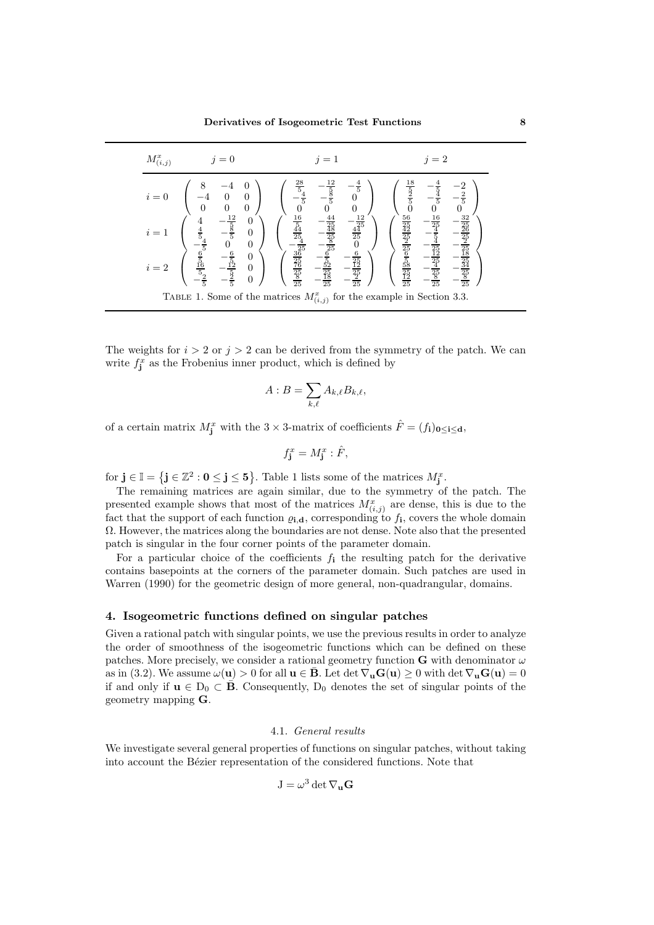| $M^x_{(i,j)}$                                                               | $i=0$                                                           | $i=1$                                                                                                                                                             | $i=2$                                                                                                                                                                 |  |  |
|-----------------------------------------------------------------------------|-----------------------------------------------------------------|-------------------------------------------------------------------------------------------------------------------------------------------------------------------|-----------------------------------------------------------------------------------------------------------------------------------------------------------------------|--|--|
| $i=0$                                                                       | $\theta$                                                        | $\frac{28}{5}$<br>12<br>5<br>$\frac{4}{5}$                                                                                                                        | 18<br>$\frac{5}{5}$<br>Ī,                                                                                                                                             |  |  |
| $i=1$                                                                       | $\Omega$                                                        | $\begin{array}{r} 12 \\ \frac{44}{25} \\ \frac{45}{25} \\ \end{array}$<br>25<br>$\frac{25}{25}$                                                                   | $\frac{32}{35}$<br>$\frac{16}{25}$<br>$\frac{25}{25}$ $\frac{25}{18}$                                                                                                 |  |  |
| $i=2$                                                                       | $\theta$<br>$\frac{5}{16}$<br>$\Omega$<br>$\theta$<br>$\bar{5}$ | $\frac{16}{5} \frac{5}{4} \frac{4}{25} \frac{1}{25} \frac{1}{25} \frac{36}{25} \frac{1}{25} \frac{1}{25} \frac{1}{25}$<br>6<br>$\frac{25}{25}$<br>$\frac{25}{25}$ | $\frac{56}{25} \frac{24}{25} \frac{25}{25} \frac{6}{25} \frac{5}{25} \frac{1}{25} \frac{25}{25}$<br>$\frac{25}{12}$<br>$rac{35}{25}$ $rac{35}{25}$<br>$\frac{25}{25}$ |  |  |
| TABLE 1. Some of the matrices $M_{(i,j)}^x$ for the example in Section 3.3. |                                                                 |                                                                                                                                                                   |                                                                                                                                                                       |  |  |

The weights for  $i > 2$  or  $j > 2$  can be derived from the symmetry of the patch. We can write  $f_{\mathbf{j}}^x$  as the Frobenius inner product, which is defined by

$$
A:B=\sum_{k,\ell}A_{k,\ell}B_{k,\ell},
$$

of a certain matrix  $M_j^x$  with the 3 × 3-matrix of coefficients  $\hat{F} = (f_i)_{0 \le i \le d}$ ,

$$
f_{\mathbf{j}}^x = M_{\mathbf{j}}^x : \hat{F},
$$

for  $\mathbf{j} \in \mathbb{I} = \{\mathbf{j} \in \mathbb{Z}^2 : \mathbf{0} \leq \mathbf{j} \leq \mathbf{5}\}\.$  Table 1 lists some of the matrices  $M_{\mathbf{j}}^x$ .

The remaining matrices are again similar, due to the symmetry of the patch. The presented example shows that most of the matrices  $M^x_{(i,j)}$  are dense, this is due to the fact that the support of each function  $\varrho_{i,d}$ , corresponding to  $f_i$ , covers the whole domain Ω. However, the matrices along the boundaries are not dense. Note also that the presented patch is singular in the four corner points of the parameter domain.

For a particular choice of the coefficients  $f_i$  the resulting patch for the derivative contains basepoints at the corners of the parameter domain. Such patches are used in Warren (1990) for the geometric design of more general, non-quadrangular, domains.

## 4. Isogeometric functions defined on singular patches

Given a rational patch with singular points, we use the previous results in order to analyze the order of smoothness of the isogeometric functions which can be defined on these patches. More precisely, we consider a rational geometry function G with denominator  $\omega$ as in (3.2). We assume  $\omega(\mathbf{u}) > 0$  for all  $\mathbf{u} \in \mathbf{\bar{B}}$ . Let det  $\nabla_{\mathbf{u}}\mathbf{G}(\mathbf{u}) \geq 0$  with det  $\nabla_{\mathbf{u}}\mathbf{G}(\mathbf{u}) = 0$ if and only if  $\mathbf{u} \in D_0 \subset \mathbf{B}$ . Consequently,  $D_0$  denotes the set of singular points of the geometry mapping G.

## 4.1. General results

We investigate several general properties of functions on singular patches, without taking into account the Bézier representation of the considered functions. Note that

$$
J = \omega^3 \det \nabla_{\mathbf{u}} \mathbf{G}
$$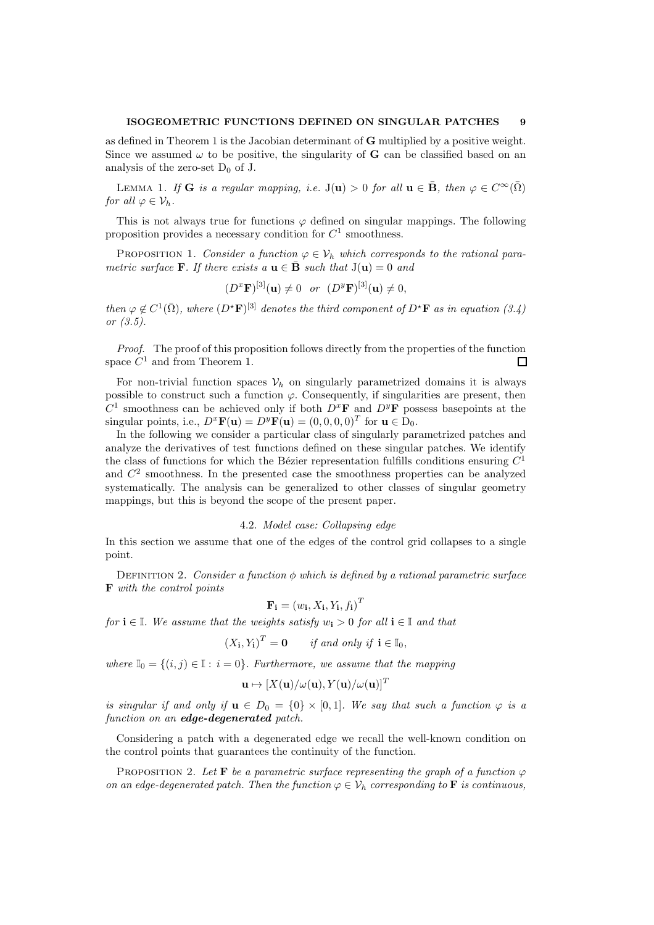as defined in Theorem 1 is the Jacobian determinant of G multiplied by a positive weight. Since we assumed  $\omega$  to be positive, the singularity of **G** can be classified based on an analysis of the zero-set  $D_0$  of J.

LEMMA 1. If **G** is a regular mapping, i.e.  $J(u) > 0$  for all  $u \in \bar{B}$ , then  $\varphi \in C^{\infty}(\bar{\Omega})$ for all  $\varphi \in \mathcal{V}_h$ .

This is not always true for functions  $\varphi$  defined on singular mappings. The following proposition provides a necessary condition for  $C^1$  smoothness.

PROPOSITION 1. Consider a function  $\varphi \in V_h$  which corresponds to the rational parametric surface **F**. If there exists a  $\mathbf{u} \in \mathbf{\bar{B}}$  such that  $J(\mathbf{u}) = 0$  and

$$
(D^x \mathbf{F})^{[3]}(\mathbf{u}) \neq 0
$$
 or  $(D^y \mathbf{F})^{[3]}(\mathbf{u}) \neq 0$ ,

then  $\varphi \notin C^1(\bar{\Omega})$ , where  $(D^{\star}F)^{[3]}$  denotes the third component of  $D^{\star}F$  as in equation (3.4) or (3.5).

Proof. The proof of this proposition follows directly from the properties of the function space  $C^1$  and from Theorem 1.  $\Box$ 

For non-trivial function spaces  $V_h$  on singularly parametrized domains it is always possible to construct such a function  $\varphi$ . Consequently, if singularities are present, then  $C^1$  smoothness can be achieved only if both  $D^x$ **F** and  $D^y$ **F** possess basepoints at the singular points, i.e.,  $D^x \mathbf{F}(\mathbf{u}) = D^y \mathbf{F}(\mathbf{u}) = (0, 0, 0, 0)^T$  for  $\mathbf{u} \in D_0$ .

In the following we consider a particular class of singularly parametrized patches and analyze the derivatives of test functions defined on these singular patches. We identify the class of functions for which the Bézier representation fulfills conditions ensuring  $C<sup>1</sup>$ and  $C<sup>2</sup>$  smoothness. In the presented case the smoothness properties can be analyzed systematically. The analysis can be generalized to other classes of singular geometry mappings, but this is beyond the scope of the present paper.

# 4.2. Model case: Collapsing edge

In this section we assume that one of the edges of the control grid collapses to a single point.

DEFINITION 2. Consider a function  $\phi$  which is defined by a rational parametric surface F with the control points

$$
\mathbf{F_i} = (w_i, X_i, Y_i, f_i)^T
$$

for  $i \in \mathbb{I}$ . We assume that the weights satisfy  $w_i > 0$  for all  $i \in \mathbb{I}$  and that

$$
(X_{\mathbf{i}}, Y_{\mathbf{i}})^T = \mathbf{0}
$$
 if and only if  $\mathbf{i} \in \mathbb{I}_0$ ,

where  $\mathbb{I}_0 = \{(i, j) \in \mathbb{I} : i = 0\}$ . Furthermore, we assume that the mapping

$$
\mathbf{u}\mapsto [X(\mathbf{u})/\omega(\mathbf{u}),Y(\mathbf{u})/\omega(\mathbf{u})]^T
$$

is singular if and only if  $\mathbf{u} \in D_0 = \{0\} \times [0,1]$ . We say that such a function  $\varphi$  is a function on an edge-degenerated patch.

Considering a patch with a degenerated edge we recall the well-known condition on the control points that guarantees the continuity of the function.

PROPOSITION 2. Let **F** be a parametric surface representing the graph of a function  $\varphi$ on an edge-degenerated patch. Then the function  $\varphi \in \mathcal{V}_h$  corresponding to **F** is continuous,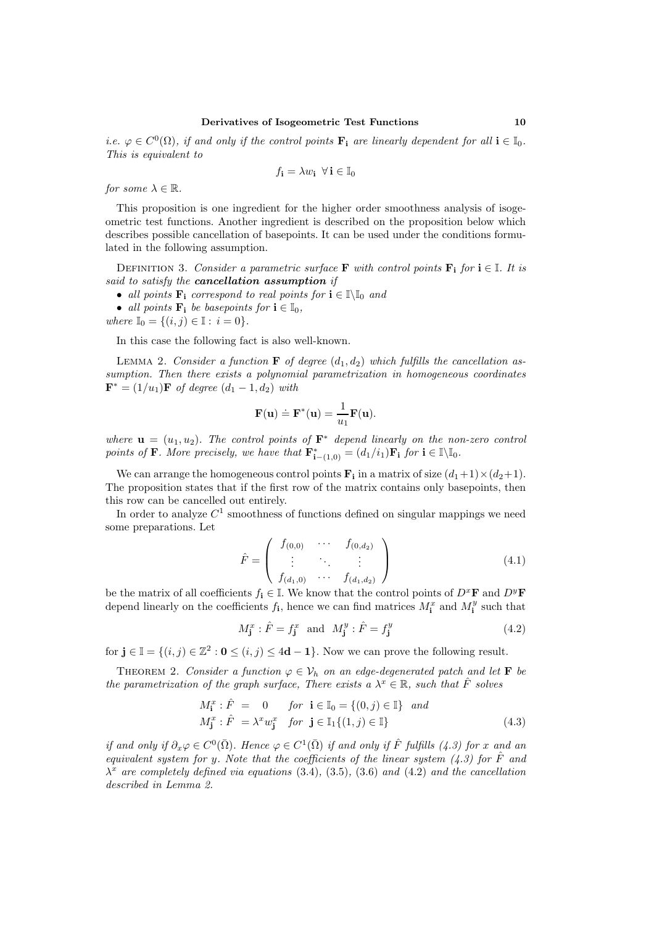*i.e.*  $\varphi \in C^0(\Omega)$ , *if and only if the control points*  $\mathbf{F_i}$  *are linearly dependent for all*  $\mathbf{i} \in \mathbb{I}_0$ *.* This is equivalent to

$$
f_{\mathbf{i}} = \lambda w_{\mathbf{i}} \ \forall \, \mathbf{i} \in \mathbb{I}_0
$$

for some  $\lambda \in \mathbb{R}$ .

This proposition is one ingredient for the higher order smoothness analysis of isogeometric test functions. Another ingredient is described on the proposition below which describes possible cancellation of basepoints. It can be used under the conditions formulated in the following assumption.

DEFINITION 3. Consider a parametric surface **F** with control points  $\mathbf{F_i}$  for  $i \in \mathbb{I}$ . It is said to satisfy the cancellation assumption if

• all points  $\mathbf{F}_i$  correspond to real points for  $i \in \mathbb{N}$  and

• all points  $\mathbf{F_i}$  be basepoints for  $i \in \mathbb{I}_0$ ,

where  $\mathbb{I}_0 = \{(i, j) \in \mathbb{I} : i = 0\}.$ 

In this case the following fact is also well-known.

LEMMA 2. Consider a function **F** of degree  $(d_1, d_2)$  which fulfills the cancellation assumption. Then there exists a polynomial parametrization in homogeneous coordinates  $\mathbf{F}^* = (1/u_1)\mathbf{F}$  of degree  $(d_1 - 1, d_2)$  with

$$
\mathbf{F}(\mathbf{u}) \doteq \mathbf{F}^*(\mathbf{u}) = \frac{1}{u_1} \mathbf{F}(\mathbf{u}).
$$

where  $\mathbf{u} = (u_1, u_2)$ . The control points of  $\mathbf{F}^*$  depend linearly on the non-zero control points of **F**. More precisely, we have that  $\mathbf{F_{i-1,0}}^* = (d_1/i_1)\mathbf{F_i}$  for  $\mathbf{i} \in \mathbb{I}\backslash\mathbb{I}_0$ .

We can arrange the homogeneous control points  $\mathbf{F_i}$  in a matrix of size  $(d_1+1)\times(d_2+1)$ . The proposition states that if the first row of the matrix contains only basepoints, then this row can be cancelled out entirely.

In order to analyze  $C^1$  smoothness of functions defined on singular mappings we need some preparations. Let

$$
\hat{F} = \begin{pmatrix} f_{(0,0)} & \cdots & f_{(0,d_2)} \\ \vdots & \ddots & \vdots \\ f_{(d_1,0)} & \cdots & f_{(d_1,d_2)} \end{pmatrix}
$$
\n(4.1)

be the matrix of all coefficients  $f_i \in \mathbb{I}$ . We know that the control points of  $D^x\mathbf{F}$  and  $D^y\mathbf{F}$ depend linearly on the coefficients  $f_i$ , hence we can find matrices  $M_i^x$  and  $M_i^y$  such that

$$
M_{\mathbf{j}}^x : \hat{F} = f_{\mathbf{j}}^x \quad \text{and} \quad M_{\mathbf{j}}^y : \hat{F} = f_{\mathbf{j}}^y \tag{4.2}
$$

for  $\mathbf{j} \in \mathbb{I} = \{(i, j) \in \mathbb{Z}^2 : \mathbf{0} \leq (i, j) \leq 4\mathbf{d} - \mathbf{1}\}\)$ . Now we can prove the following result.

THEOREM 2. Consider a function  $\varphi \in \mathcal{V}_h$  on an edge-degenerated patch and let **F** be the parametrization of the graph surface, There exists a  $\lambda^x \in \mathbb{R}$ , such that  $\hat{F}$  solves

$$
M_{\mathbf{i}}^x : \hat{F} = 0 \quad \text{for } \mathbf{i} \in \mathbb{I}_0 = \{ (0, j) \in \mathbb{I} \} \text{ and}
$$
  

$$
M_{\mathbf{j}}^x : \hat{F} = \lambda^x w_{\mathbf{j}}^x \quad \text{for } \mathbf{j} \in \mathbb{I}_1 \{ (1, j) \in \mathbb{I} \}
$$
 (4.3)

if and only if  $\partial_x \varphi \in C^0(\overline{\Omega})$ . Hence  $\varphi \in C^1(\overline{\Omega})$  if and only if  $\hat{F}$  fulfills (4.3) for x and an equivalent system for y. Note that the coefficients of the linear system  $(4.3)$  for  $\hat{F}$  and  $\lambda^x$  are completely defined via equations (3.4), (3.5), (3.6) and (4.2) and the cancellation described in Lemma 2.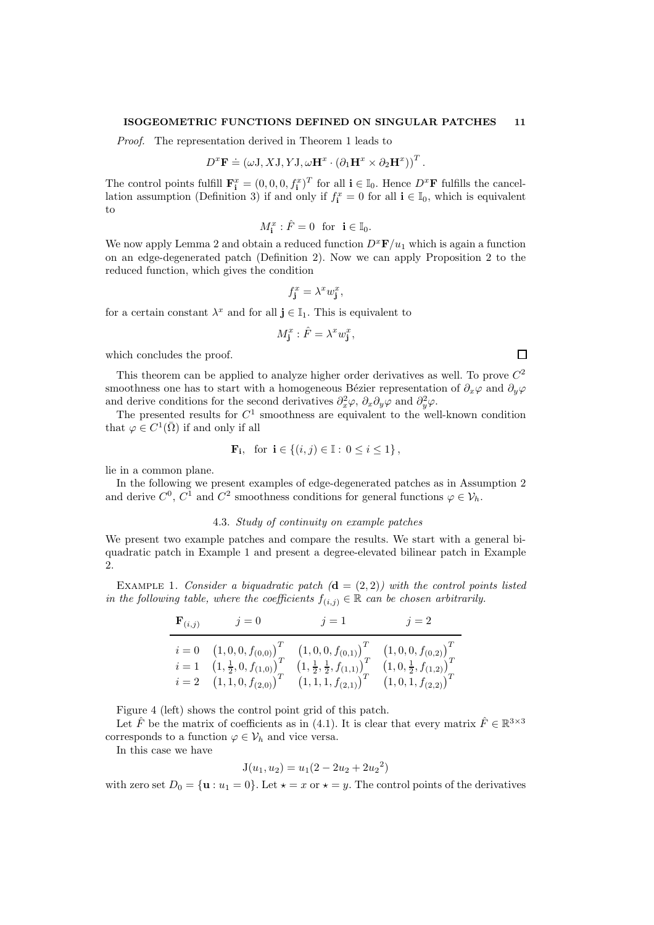#### ISOGEOMETRIC FUNCTIONS DEFINED ON SINGULAR PATCHES 11

Proof. The representation derived in Theorem 1 leads to

$$
D^x \mathbf{F} \doteq (\omega \mathbf{J}, X\mathbf{J}, Y\mathbf{J}, \omega \mathbf{H}^x \cdot (\partial_1 \mathbf{H}^x \times \partial_2 \mathbf{H}^x))^T.
$$

The control points fulfill  $\mathbf{F}_i^x = (0, 0, 0, f_i^x)^T$  for all  $i \in \mathbb{I}_0$ . Hence  $D^x\mathbf{F}$  fulfills the cancellation assumption (Definition 3) if and only if  $f_i^x = 0$  for all  $i \in I_0$ , which is equivalent to

$$
M_{\mathbf{i}}^x : \hat{F} = 0 \text{ for } \mathbf{i} \in \mathbb{I}_0.
$$

We now apply Lemma 2 and obtain a reduced function  $D^x \mathbf{F}/u_1$  which is again a function on an edge-degenerated patch (Definition 2). Now we can apply Proposition 2 to the reduced function, which gives the condition

$$
f_{\mathbf{j}}^x = \lambda^x w_{\mathbf{j}}^x,
$$

for a certain constant  $\lambda^x$  and for all  $\mathbf{j} \in \mathbb{I}_1$ . This is equivalent to

$$
M_{\mathbf{j}}^x : \hat{F} = \lambda^x w_{\mathbf{j}}^x,
$$

which concludes the proof.

This theorem can be applied to analyze higher order derivatives as well. To prove  $C^2$ smoothness one has to start with a homogeneous Bézier representation of  $\partial_x\varphi$  and  $\partial_y\varphi$ and derive conditions for the second derivatives  $\partial_x^2 \varphi$ ,  $\partial_x \partial_y \varphi$  and  $\partial_y^2 \varphi$ .

The presented results for  $C^1$  smoothness are equivalent to the well-known condition that  $\varphi \in C^1(\overline{\Omega})$  if and only if all

$$
\mathbf{F_i}, \text{ for } \mathbf{i} \in \{ (i, j) \in \mathbb{I} : 0 \le i \le 1 \},
$$

lie in a common plane.

In the following we present examples of edge-degenerated patches as in Assumption 2 and derive  $C^0$ ,  $C^1$  and  $C^2$  smoothness conditions for general functions  $\varphi \in \mathcal{V}_h$ .

### 4.3. Study of continuity on example patches

We present two example patches and compare the results. We start with a general biquadratic patch in Example 1 and present a degree-elevated bilinear patch in Example 2.

EXAMPLE 1. Consider a biquadratic patch  $(d = (2, 2))$  with the control points listed in the following table, where the coefficients  $f_{(i,j)} \in \mathbb{R}$  can be chosen arbitrarily.

$$
\begin{array}{ll}\n\mathbf{F}_{(i,j)} & j = 0 & j = 1 & j = 2 \\
\hline\ni = 0 & \left(1, 0, 0, f_{(0,0)}\right)^T & \left(1, 0, 0, f_{(0,1)}\right)^T & \left(1, 0, 0, f_{(0,2)}\right)^T \\
i = 1 & \left(1, \frac{1}{2}, 0, f_{(1,0)}\right)^T & \left(1, \frac{1}{2}, \frac{1}{2}, f_{(1,1)}\right)^T & \left(1, 0, \frac{1}{2}, f_{(1,2)}\right)^T \\
i = 2 & \left(1, 1, 0, f_{(2,0)}\right)^T & \left(1, 1, 1, f_{(2,1)}\right)^T & \left(1, 0, 1, f_{(2,2)}\right)^T\n\end{array}
$$

Figure 4 (left) shows the control point grid of this patch.

Let  $\hat{F}$  be the matrix of coefficients as in (4.1). It is clear that every matrix  $\hat{F} \in \mathbb{R}^{3 \times 3}$ corresponds to a function  $\varphi \in \mathcal{V}_h$  and vice versa.

In this case we have

$$
J(u_1, u_2) = u_1(2 - 2u_2 + 2u_2^2)
$$

with zero set  $D_0 = \{u : u_1 = 0\}$ . Let  $\star = x$  or  $\star = y$ . The control points of the derivatives

 $\Box$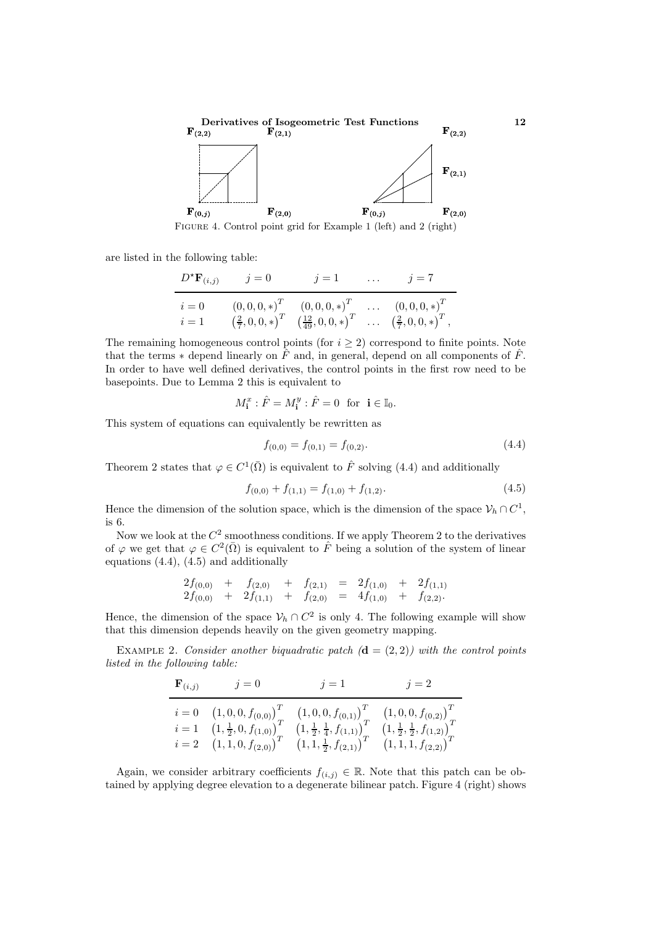

Figure 4. Control point grid for Example 1 (left) and 2 (right)

are listed in the following table:

$$
\frac{D^* \mathbf{F}_{(i,j)}}{i=0 \qquad (0,0,0,*)^T \qquad (0,0,0,*)^T \qquad \dots \qquad (0,0,0,*)^T}{i=1 \qquad (\frac{2}{7},0,0,*)^T \qquad (\frac{12}{49},0,0,*)^T \qquad \dots \qquad (0,0,0,*)^T \qquad i=1 \qquad (\frac{2}{7},0,0,*)^T \qquad \dots \qquad (\frac{2}{7},0,0,*)^T \, ,}
$$

The remaining homogeneous control points (for  $i \geq 2$ ) correspond to finite points. Note that the terms  $*$  depend linearly on  $\hat{F}$  and, in general, depend on all components of  $\hat{F}$ . In order to have well defined derivatives, the control points in the first row need to be basepoints. Due to Lemma 2 this is equivalent to

$$
M_{\mathbf{i}}^x : \hat{F} = M_{\mathbf{i}}^y : \hat{F} = 0 \text{ for } \mathbf{i} \in \mathbb{I}_0.
$$

This system of equations can equivalently be rewritten as

$$
f_{(0,0)} = f_{(0,1)} = f_{(0,2)}.\t\t(4.4)
$$

Theorem 2 states that  $\varphi \in C^1(\overline{\Omega})$  is equivalent to  $\hat{F}$  solving (4.4) and additionally

$$
f_{(0,0)} + f_{(1,1)} = f_{(1,0)} + f_{(1,2)}.
$$
\n(4.5)

Hence the dimension of the solution space, which is the dimension of the space  $\mathcal{V}_h \cap C^1$ , is 6.

Now we look at the  $C^2$  smoothness conditions. If we apply Theorem 2 to the derivatives of  $\varphi$  we get that  $\varphi \in C^2(\bar{\Omega})$  is equivalent to  $\hat{F}$  being a solution of the system of linear equations  $(4.4)$ ,  $(4.5)$  and additionally

$$
\begin{array}{ccccccccc}\n2f_{(0,0)} & + & f_{(2,0)} & + & f_{(2,1)} & = & 2f_{(1,0)} & + & 2f_{(1,1)} \\
2f_{(0,0)} & + & 2f_{(1,1)} & + & f_{(2,0)} & = & 4f_{(1,0)} & + & f_{(2,2)}.\n\end{array}
$$

Hence, the dimension of the space  $\mathcal{V}_h \cap C^2$  is only 4. The following example will show that this dimension depends heavily on the given geometry mapping.

EXAMPLE 2. Consider another biquadratic patch  $(\mathbf{d} = (2, 2))$  with the control points listed in the following table:

| $\mathbf{F}_{(i,j)}$ | $j=0$                                               | $j=1$                                                | $j=2$                                                |
|----------------------|-----------------------------------------------------|------------------------------------------------------|------------------------------------------------------|
|                      | $i = 0$ $(1, 0, 0, f_{(0,0)})^T$                    | $(1,0,0,f_{(0,1)})^T$                                | $(1,0,0,f_{(0,2)})^T$                                |
|                      | $i=1\quad (1,\frac{1}{2},0,f_{(1,0)})^{\prime}_{T}$ | $\left(1,\frac{1}{2},\frac{1}{4},f_{(1,1)}\right)_T$ | $\left(1,\frac{1}{2},\frac{1}{2},f_{(1,2)}\right)^T$ |
|                      | $i = 2 \quad (1, 1, 0, f_{(2,0)})^{\text{T}}$       | $\left(1,1,\frac{1}{2},f_{(2,1)}\right)^{1}$         | $(1,1,1,f_{(2,2)})^*$                                |

Again, we consider arbitrary coefficients  $f(i,j) \in \mathbb{R}$ . Note that this patch can be obtained by applying degree elevation to a degenerate bilinear patch. Figure 4 (right) shows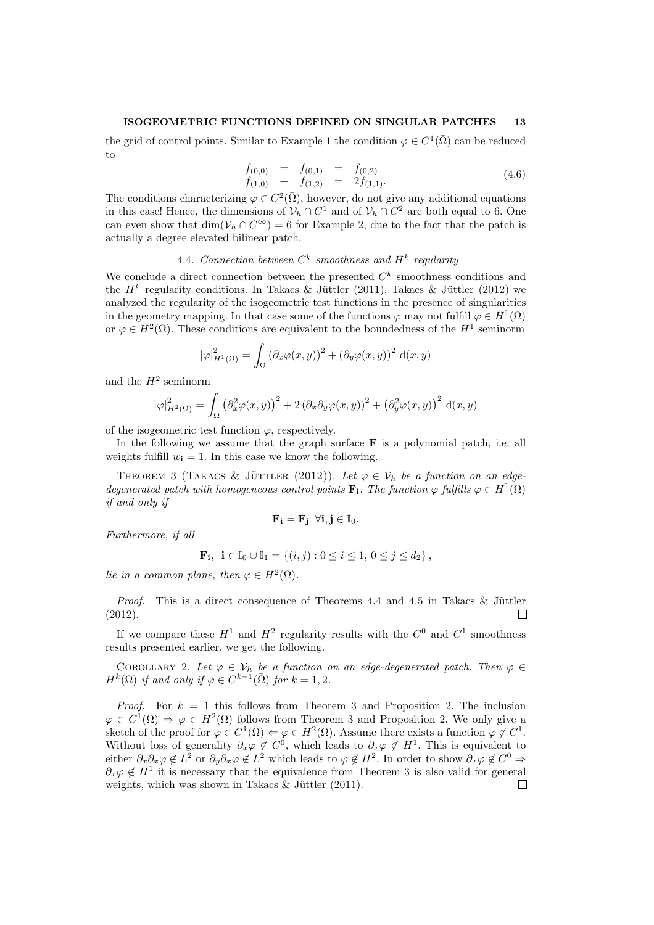## ISOGEOMETRIC FUNCTIONS DEFINED ON SINGULAR PATCHES 13

the grid of control points. Similar to Example 1 the condition  $\varphi \in C^1(\overline{\Omega})$  can be reduced to

$$
\begin{array}{rcl}\nf_{(0,0)} &=& f_{(0,1)} &=& f_{(0,2)} \\
f_{(1,0)} + & f_{(1,2)} &=& 2f_{(1,1)}.\n\end{array} \tag{4.6}
$$

The conditions characterizing  $\varphi \in C^2(\overline{\Omega})$ , however, do not give any additional equations in this case! Hence, the dimensions of  $\mathcal{V}_h \cap C^1$  and of  $\mathcal{V}_h \cap C^2$  are both equal to 6. One can even show that  $\dim(\mathcal{V}_h \cap C^\infty) = 6$  for Example 2, due to the fact that the patch is actually a degree elevated bilinear patch.

# 4.4. Connection between  $C^k$  smoothness and  $H^k$  regularity

We conclude a direct connection between the presented  $C<sup>k</sup>$  smoothness conditions and the  $H^k$  regularity conditions. In Takacs & Jüttler (2011), Takacs & Jüttler (2012) we analyzed the regularity of the isogeometric test functions in the presence of singularities in the geometry mapping. In that case some of the functions  $\varphi$  may not fulfill  $\varphi \in H^1(\Omega)$ or  $\varphi \in H^2(\Omega)$ . These conditions are equivalent to the boundedness of the  $H^1$  seminorm

$$
|\varphi|_{H^1(\Omega)}^2 = \int_{\Omega} \left(\partial_x \varphi(x, y)\right)^2 + \left(\partial_y \varphi(x, y)\right)^2 d(x, y)
$$

and the  $H^2$  seminorm

$$
|\varphi|_{H^2(\Omega)}^2 = \int_{\Omega} \left(\partial_x^2 \varphi(x, y)\right)^2 + 2\left(\partial_x \partial_y \varphi(x, y)\right)^2 + \left(\partial_y^2 \varphi(x, y)\right)^2 d(x, y)
$$

of the isogeometric test function  $\varphi$ , respectively.

In the following we assume that the graph surface  $\bf{F}$  is a polynomial patch, i.e. all weights fulfill  $w_i = 1$ . In this case we know the following.

THEOREM 3 (TAKACS & JÜTTLER (2012)). Let  $\varphi \in \mathcal{V}_h$  be a function on an edgedegenerated patch with homogeneous control points  $\mathbf{F_i}$ . The function  $\varphi$  fulfills  $\varphi \in H^1(\Omega)$ if and only if

$$
\mathbf{F_i} = \mathbf{F_j} \ \forall i,j \in \mathbb{I}_0.
$$

Furthermore, if all

$$
\mathbf{F_i}, \ \mathbf{i} \in \mathbb{I}_0 \cup \mathbb{I}_1 = \{ (i,j) : 0 \le i \le 1, \ 0 \le j \le d_2 \},
$$

lie in a common plane, then  $\varphi \in H^2(\Omega)$ .

*Proof.* This is a direct consequence of Theorems 4.4 and 4.5 in Takacs & Jüttler (2012).  $\Box$ 

If we compare these  $H^1$  and  $H^2$  regularity results with the  $C^0$  and  $C^1$  smoothness results presented earlier, we get the following.

COROLLARY 2. Let  $\varphi \in V_h$  be a function on an edge-degenerated patch. Then  $\varphi \in$  $H^k(\Omega)$  if and only if  $\varphi \in C^{k-1}(\overline{\Omega})$  for  $k = 1, 2$ .

*Proof.* For  $k = 1$  this follows from Theorem 3 and Proposition 2. The inclusion  $\varphi \in C^1(\overline{\Omega}) \Rightarrow \varphi \in H^2(\Omega)$  follows from Theorem 3 and Proposition 2. We only give a sketch of the proof for  $\varphi \in C^1(\overline{\Omega}) \Leftrightarrow \varphi \in H^2(\Omega)$ . Assume there exists a function  $\varphi \notin C^1$ . Without loss of generality  $\partial_x \varphi \notin C^0$ , which leads to  $\partial_x \varphi \notin H^1$ . This is equivalent to either  $\partial_x \partial_x \varphi \notin L^2$  or  $\partial_y \partial_x \varphi \notin L^2$  which leads to  $\varphi \notin H^2$ . In order to show  $\partial_x \varphi \notin C^0 \Rightarrow$  $\partial_x \varphi \notin H^1$  it is necessary that the equivalence from Theorem 3 is also valid for general weights, which was shown in Takacs  $\&$  Jüttler (2011).  $\Box$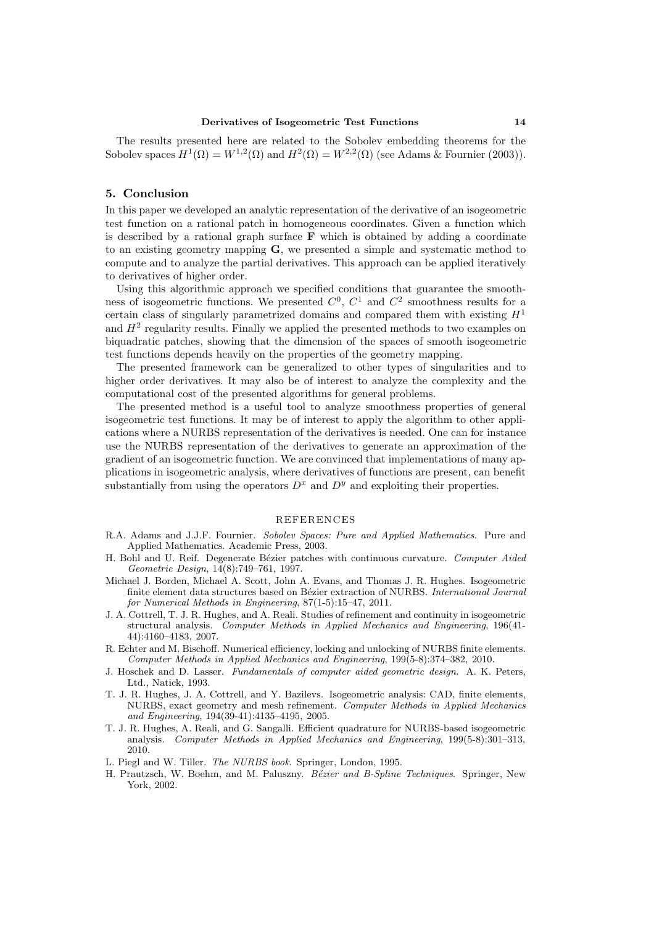The results presented here are related to the Sobolev embedding theorems for the Sobolev spaces  $H^1(\Omega) = W^{1,2}(\Omega)$  and  $H^2(\Omega) = W^{2,2}(\Omega)$  (see Adams & Fournier (2003)).

#### 5. Conclusion

In this paper we developed an analytic representation of the derivative of an isogeometric test function on a rational patch in homogeneous coordinates. Given a function which is described by a rational graph surface  $\bf{F}$  which is obtained by adding a coordinate to an existing geometry mapping G, we presented a simple and systematic method to compute and to analyze the partial derivatives. This approach can be applied iteratively to derivatives of higher order.

Using this algorithmic approach we specified conditions that guarantee the smoothness of isogeometric functions. We presented  $C^0$ ,  $C^1$  and  $C^2$  smoothness results for a certain class of singularly parametrized domains and compared them with existing  $H<sup>1</sup>$ and  $H^2$  regularity results. Finally we applied the presented methods to two examples on biquadratic patches, showing that the dimension of the spaces of smooth isogeometric test functions depends heavily on the properties of the geometry mapping.

The presented framework can be generalized to other types of singularities and to higher order derivatives. It may also be of interest to analyze the complexity and the computational cost of the presented algorithms for general problems.

The presented method is a useful tool to analyze smoothness properties of general isogeometric test functions. It may be of interest to apply the algorithm to other applications where a NURBS representation of the derivatives is needed. One can for instance use the NURBS representation of the derivatives to generate an approximation of the gradient of an isogeometric function. We are convinced that implementations of many applications in isogeometric analysis, where derivatives of functions are present, can benefit substantially from using the operators  $D^x$  and  $D^y$  and exploiting their properties.

#### REFERENCES

- R.A. Adams and J.J.F. Fournier. Sobolev Spaces: Pure and Applied Mathematics. Pure and Applied Mathematics. Academic Press, 2003.
- H. Bohl and U. Reif. Degenerate Bézier patches with continuous curvature. Computer Aided Geometric Design, 14(8):749–761, 1997.
- Michael J. Borden, Michael A. Scott, John A. Evans, and Thomas J. R. Hughes. Isogeometric finite element data structures based on Bézier extraction of NURBS. International Journal for Numerical Methods in Engineering, 87(1-5):15–47, 2011.
- J. A. Cottrell, T. J. R. Hughes, and A. Reali. Studies of refinement and continuity in isogeometric structural analysis. Computer Methods in Applied Mechanics and Engineering, 196(41- 44):4160–4183, 2007.
- R. Echter and M. Bischoff. Numerical efficiency, locking and unlocking of NURBS finite elements. Computer Methods in Applied Mechanics and Engineering, 199(5-8):374–382, 2010.
- J. Hoschek and D. Lasser. Fundamentals of computer aided geometric design. A. K. Peters, Ltd., Natick, 1993.
- T. J. R. Hughes, J. A. Cottrell, and Y. Bazilevs. Isogeometric analysis: CAD, finite elements, NURBS, exact geometry and mesh refinement. Computer Methods in Applied Mechanics and Engineering, 194(39-41):4135–4195, 2005.
- T. J. R. Hughes, A. Reali, and G. Sangalli. Efficient quadrature for NURBS-based isogeometric analysis. Computer Methods in Applied Mechanics and Engineering, 199(5-8):301–313, 2010.
- L. Piegl and W. Tiller. The NURBS book. Springer, London, 1995.
- H. Prautzsch, W. Boehm, and M. Paluszny. Bézier and B-Spline Techniques. Springer, New York, 2002.